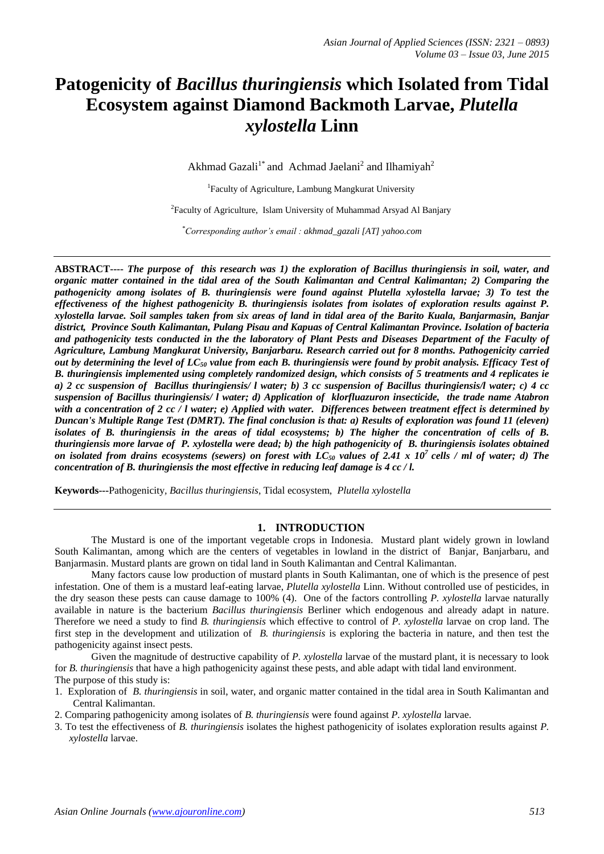# **Patogenicity of** *Bacillus thuringiensis* **which Isolated from Tidal Ecosystem against Diamond Backmoth Larvae,** *Plutella xylostella* **Linn**

Akhmad Gazali<sup>1\*</sup> and Achmad Jaelani<sup>2</sup> and Ilhamiyah<sup>2</sup>

<sup>1</sup>Faculty of Agriculture, Lambung Mangkurat University

<sup>2</sup> Faculty of Agriculture, Islam University of Muhammad Arsyad Al Banjary

*\*Corresponding author's email : akhmad\_gazali [AT] yahoo.com*

**ABSTRACT----** *The purpose of this research was 1) the exploration of Bacillus thuringiensis in soil, water, and organic matter contained in the tidal area of the South Kalimantan and Central Kalimantan; 2) Comparing the pathogenicity among isolates of B. thuringiensis were found against Plutella xylostella larvae; 3) To test the effectiveness of the highest pathogenicity B. thuringiensis isolates from isolates of exploration results against P. xylostella larvae. Soil samples taken from six areas of land in tidal area of the Barito Kuala, Banjarmasin, Banjar district, Province South Kalimantan, Pulang Pisau and Kapuas of Central Kalimantan Province. Isolation of bacteria and pathogenicity tests conducted in the the laboratory of Plant Pests and Diseases Department of the Faculty of Agriculture, Lambung Mangkurat University, Banjarbaru. Research carried out for 8 months. Pathogenicity carried out by determining the level of LC<sup>50</sup> value from each B. thuringiensis were found by probit analysis. Efficacy Test of B. thuringiensis implemented using completely randomized design, which consists of 5 treatments and 4 replicates ie a) 2 cc suspension of Bacillus thuringiensis/ l water; b) 3 cc suspension of Bacillus thuringiensis/l water; c) 4 cc suspension of Bacillus thuringiensis/ l water; d) Application of klorfluazuron insecticide, the trade name Atabron with a concentration of 2 cc / l water; e) Applied with water. Differences between treatment effect is determined by Duncan's Multiple Range Test (DMRT). The final conclusion is that: a) Results of exploration was found 11 (eleven) isolates of B. thuringiensis in the areas of tidal ecosystems; b) The higher the concentration of cells of B. thuringiensis more larvae of P. xylostella were dead; b) the high pathogenicity of B. thuringiensis isolates obtained* on isolated from drains ecosystems (sewers) on forest with  $LC_{50}$  values of 2.41 x 10<sup>7</sup> cells / ml of water; d) The *concentration of B. thuringiensis the most effective in reducing leaf damage is 4 cc / l.*

**Keywords---**Pathogenicity*, Bacillus thuringiensis*, Tidal ecosystem, *Plutella xylostella*

#### **1. INTRODUCTION**

The Mustard is one of the important vegetable crops in Indonesia. Mustard plant widely grown in lowland South Kalimantan, among which are the centers of vegetables in lowland in the district of Banjar, Banjarbaru, and Banjarmasin. Mustard plants are grown on tidal land in South Kalimantan and Central Kalimantan.

Many factors cause low production of mustard plants in South Kalimantan, one of which is the presence of pest infestation. One of them is a mustard leaf-eating larvae, *Plutella xylostella* Linn. Without controlled use of pesticides, in the dry season these pests can cause damage to 100% (4). One of the factors controlling *P. xylostella* larvae naturally available in nature is the bacterium *Bacillus thuringiensis* Berliner which endogenous and already adapt in nature. Therefore we need a study to find *B. thuringiensis* which effective to control of *P. xylostella* larvae on crop land. The first step in the development and utilization of *B. thuringiensis* is exploring the bacteria in nature, and then test the pathogenicity against insect pests.

Given the magnitude of destructive capability of *P. xylostella* larvae of the mustard plant, it is necessary to look for *B. thuringiensis* that have a high pathogenicity against these pests, and able adapt with tidal land environment. The purpose of this study is:

- 1. Exploration of *B. thuringiensis* in soil, water, and organic matter contained in the tidal area in South Kalimantan and Central Kalimantan.
- 2. Comparing pathogenicity among isolates of *B. thuringiensis* were found against *P. xylostella* larvae.
- 3. To test the effectiveness of *B. thuringiensis* isolates the highest pathogenicity of isolates exploration results against *P. xylostella* larvae.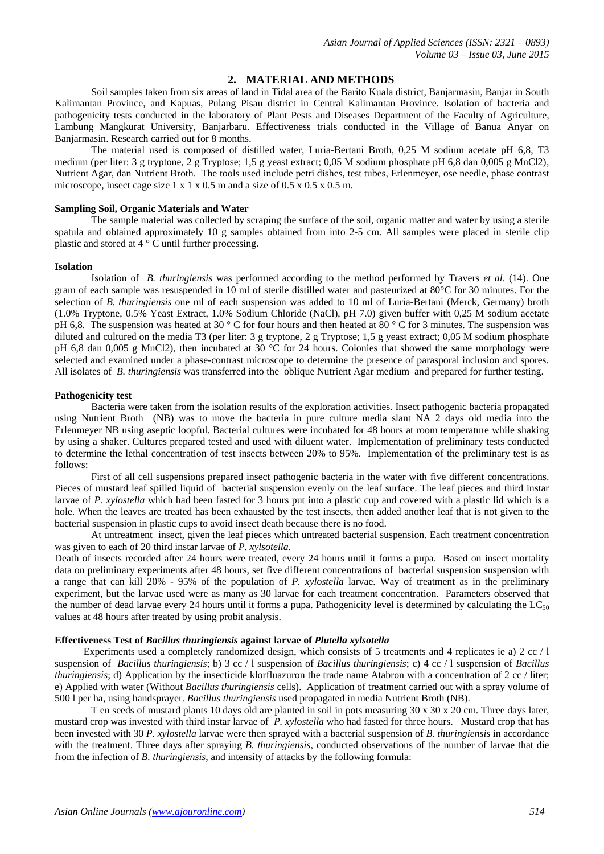# **2. MATERIAL AND METHODS**

Soil samples taken from six areas of land in Tidal area of the Barito Kuala district, Banjarmasin, Banjar in South Kalimantan Province, and Kapuas, Pulang Pisau district in Central Kalimantan Province. Isolation of bacteria and pathogenicity tests conducted in the laboratory of Plant Pests and Diseases Department of the Faculty of Agriculture, Lambung Mangkurat University, Banjarbaru. Effectiveness trials conducted in the Village of Banua Anyar on Banjarmasin. Research carried out for 8 months.

The material used is composed of distilled water, Luria-Bertani Broth, 0,25 M sodium acetate pH 6,8, T3 medium (per liter: 3 g tryptone, 2 g Tryptose; 1,5 g yeast extract; 0,05 M sodium phosphate pH 6,8 dan 0,005 g MnCl2), Nutrient Agar, dan Nutrient Broth. The tools used include petri dishes, test tubes, Erlenmeyer, ose needle, phase contrast microscope, insect cage size  $1 \times 1 \times 0.5$  m and a size of  $0.5 \times 0.5 \times 0.5$  m.

### **Sampling Soil, Organic Materials and Water**

The sample material was collected by scraping the surface of the soil, organic matter and water by using a sterile spatula and obtained approximately 10 g samples obtained from into 2-5 cm. All samples were placed in sterile clip plastic and stored at 4 ° C until further processing.

#### **Isolation**

Isolation of *B. thuringiensis* was performed according to the method performed by Travers *et al*. (14). One gram of each sample was resuspended in 10 ml of sterile distilled water and pasteurized at 80°C for 30 minutes. For the selection of *B. thuringiensis* one ml of each suspension was added to 10 ml of Luria-Bertani (Merck, Germany) broth (1.0% [Tryptone,](http://www.en.wikipedia.org/wiki/Tryptone) 0.5% Yeast Extract, 1.0% Sodium Chloride (NaCl), pH 7.0) given buffer with 0,25 M sodium acetate pH 6,8. The suspension was heated at 30 ° C for four hours and then heated at 80 ° C for 3 minutes. The suspension was diluted and cultured on the media T3 (per liter: 3 g tryptone, 2 g Tryptose; 1,5 g yeast extract; 0,05 M sodium phosphate pH 6,8 dan 0,005 g MnCl2), then incubated at 30 °C for 24 hours. Colonies that showed the same morphology were selected and examined under a phase-contrast microscope to determine the presence of parasporal inclusion and spores. All isolates of *B. thuringiensis* was transferred into the oblique Nutrient Agar medium and prepared for further testing.

#### **Pathogenicity test**

Bacteria were taken from the isolation results of the exploration activities. Insect pathogenic bacteria propagated using Nutrient Broth (NB) was to move the bacteria in pure culture media slant NA 2 days old media into the Erlenmeyer NB using aseptic loopful. Bacterial cultures were incubated for 48 hours at room temperature while shaking by using a shaker. Cultures prepared tested and used with diluent water. Implementation of preliminary tests conducted to determine the lethal concentration of test insects between 20% to 95%. Implementation of the preliminary test is as follows:

First of all cell suspensions prepared insect pathogenic bacteria in the water with five different concentrations. Pieces of mustard leaf spilled liquid of bacterial suspension evenly on the leaf surface. The leaf pieces and third instar larvae of *P. xylostella* which had been fasted for 3 hours put into a plastic cup and covered with a plastic lid which is a hole. When the leaves are treated has been exhausted by the test insects, then added another leaf that is not given to the bacterial suspension in plastic cups to avoid insect death because there is no food.

At untreatment insect, given the leaf pieces which untreated bacterial suspension. Each treatment concentration was given to each of 20 third instar larvae of *P. xylsotella*.

Death of insects recorded after 24 hours were treated, every 24 hours until it forms a pupa. Based on insect mortality data on preliminary experiments after 48 hours, set five different concentrations of bacterial suspension suspension with a range that can kill 20% - 95% of the population of *P. xylostella* larvae. Way of treatment as in the preliminary experiment, but the larvae used were as many as 30 larvae for each treatment concentration. Parameters observed that the number of dead larvae every 24 hours until it forms a pupa. Pathogenicity level is determined by calculating the  $LC_{50}$ values at 48 hours after treated by using probit analysis.

## **Effectiveness Test of** *Bacillus thuringiensis* **against larvae of** *Plutella xylsotella*

Experiments used a completely randomized design, which consists of 5 treatments and 4 replicates ie a) 2 cc / l suspension of *Bacillus thuringiensis*; b) 3 cc / l suspension of *Bacillus thuringiensis*; c) 4 cc / l suspension of *Bacillus thuringiensis*; d) Application by the insecticide klorfluazuron the trade name Atabron with a concentration of 2 cc / liter; e) Applied with water (Without *Bacillus thuringiensis* cells). Application of treatment carried out with a spray volume of 500 l per ha, using handsprayer. *Bacillus thuringiensis* used propagated in media Nutrient Broth (NB).

T en seeds of mustard plants 10 days old are planted in soil in pots measuring 30 x 30 x 20 cm. Three days later, mustard crop was invested with third instar larvae of *P. xylostella* who had fasted for three hours. Mustard crop that has been invested with 30 *P. xylostella* larvae were then sprayed with a bacterial suspension of *B. thuringiensis* in accordance with the treatment. Three days after spraying *B. thuringiensis*, conducted observations of the number of larvae that die from the infection of *B. thuringiensis*, and intensity of attacks by the following formula: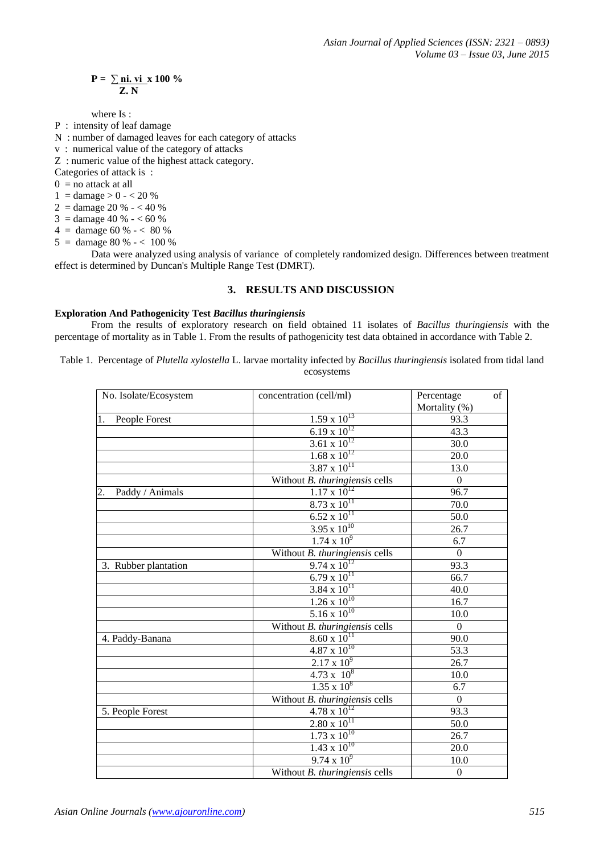$$
P = \frac{\sum \text{ni. vi}}{Z. N} \times 100\%
$$

where Is :

- P : intensity of leaf damage
- N : number of damaged leaves for each category of attacks
- v : numerical value of the category of attacks
- Z : numeric value of the highest attack category.

Categories of attack is :

 $0 =$  no attack at all

- $1 = \text{ damage} > 0 < 20 \%$
- $2 =$  damage 20 %  $-$  < 40 %
- $3 = \text{damae} 40 \% 60 \%$
- $4 = \text{ damage } 60 \% < 80 \%$
- $5 = \text{ damage } 80 \% < 100 \%$

Data were analyzed using analysis of variance of completely randomized design. Differences between treatment effect is determined by Duncan's Multiple Range Test (DMRT).

## **3. RESULTS AND DISCUSSION**

#### **Exploration And Pathogenicity Test** *Bacillus thuringiensis*

From the results of exploratory research on field obtained 11 isolates of *Bacillus thuringiensis* with the percentage of mortality as in Table 1. From the results of pathogenicity test data obtained in accordance with Table 2.

Table 1. Percentage of *Plutella xylostella* L. larvae mortality infected by *Bacillus thuringiensis* isolated from tidal land ecosystems

| No. Isolate/Ecosystem | concentration (cell/ml)        | Percentage<br>Mortality (%) | of |
|-----------------------|--------------------------------|-----------------------------|----|
| 1.<br>People Forest   | $1.59 \times 10^{13}$          | 93.3                        |    |
|                       | $6.19 \times 10^{12}$          | 43.3                        |    |
|                       | $3.61 \times 10^{12}$          | 30.0                        |    |
|                       | $1.68 \times 10^{12}$          | 20.0                        |    |
|                       | $3.87 \times 10^{11}$          | 13.0                        |    |
|                       | Without B. thuringiensis cells | $\mathbf{0}$                |    |
| 2.<br>Paddy / Animals | $1.17 \times 10^{12}$          | 96.7                        |    |
|                       | $8.73 \times 10^{11}$          | 70.0                        |    |
|                       | $6.52 \times 10^{11}$          | 50.0                        |    |
|                       | $3.95 \times 10^{10}$          | 26.7                        |    |
|                       | $1.74 \times 10^{9}$           | 6.7                         |    |
|                       | Without B. thuringiensis cells | $\mathbf{0}$                |    |
| 3. Rubber plantation  | $9.74 \times 10^{12}$          | 93.3                        |    |
|                       | $6.79 \times 10^{11}$          | 66.7                        |    |
|                       | $3.84 \times 10^{11}$          | 40.0                        |    |
|                       | $1.26 \times 10^{10}$          | 16.7                        |    |
|                       | $5.16 \times 10^{10}$          | 10.0                        |    |
|                       | Without B. thuringiensis cells | $\Omega$                    |    |
| 4. Paddy-Banana       | $8.60 \times 10^{11}$          | 90.0                        |    |
|                       | $4.87 \times 10^{10}$          | 53.3                        |    |
|                       | $2.17 \times 10^{9}$           | 26.7                        |    |
|                       | $4.73 \times 10^8$             | 10.0                        |    |
|                       | $1.35 \times 10^8$             | 6.7                         |    |
|                       | Without B. thuringiensis cells | $\Omega$                    |    |
| 5. People Forest      | $4.78 \times 10^{12}$          | $\overline{93.3}$           |    |
|                       | $2.80 \times 10^{11}$          | 50.0                        |    |
|                       | $1.73 \times 10^{10}$          | 26.7                        |    |
|                       | $1.43 \times 10^{10}$          | 20.0                        |    |
|                       | $9.74 \times 10^{9}$           | 10.0                        |    |
|                       | Without B. thuringiensis cells | $\boldsymbol{0}$            |    |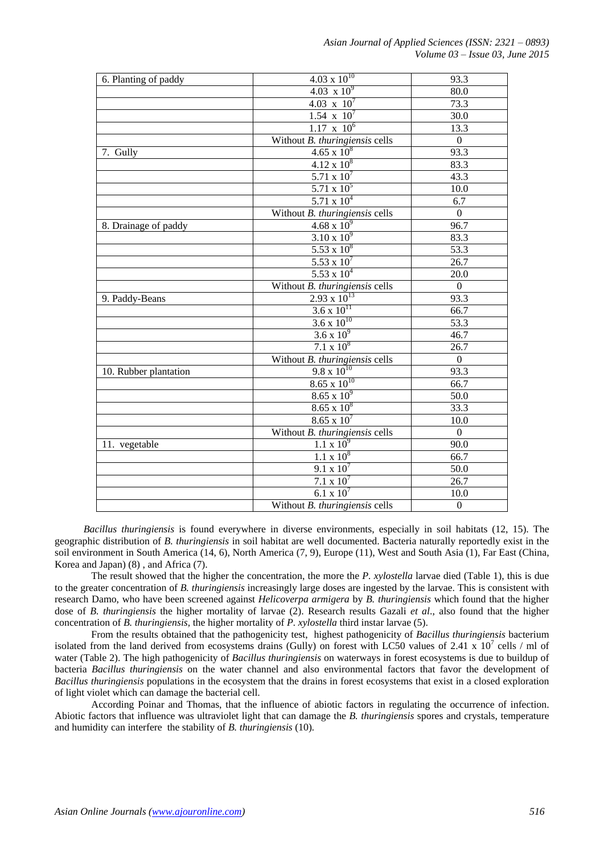| 6. Planting of paddy  | $4.03 \times 10^{10}$               | 93.3             |
|-----------------------|-------------------------------------|------------------|
|                       | $4.03 \times 10^{9}$                | 80.0             |
|                       | 4.03 $\overline{x}$ 10 <sup>7</sup> | 73.3             |
|                       | $1.54 \times 10^{7}$                | 30.0             |
|                       | $1.17 \times 10^6$                  | 13.3             |
|                       | Without B. thuringiensis cells      | $\mathbf{0}$     |
| 7. Gully              | $4.65 \times 10^8$                  | 93.3             |
|                       | $4.12 \times 10^8$                  | 83.3             |
|                       | 5.71 x $10^{7}$                     | 43.3             |
|                       | $5.71 \times 10^5$                  | 10.0             |
|                       | $5.71 \times 10^{4}$                | 6.7              |
|                       | Without B. thuringiensis cells      | $\mathbf{0}$     |
| 8. Drainage of paddy  | $4.68 \times 10^{9}$                | 96.7             |
|                       | $3.10 \times 10^{9}$                | 83.3             |
|                       | $5.53 \times 10^8$                  | 53.3             |
|                       | 5.53 x $10^{7}$                     | 26.7             |
|                       | $5.53 \times 10^{4}$                | 20.0             |
|                       | Without B. thuringiensis cells      | $\mathbf{0}$     |
| 9. Paddy-Beans        | $2.93 \times 10^{13}$               | 93.3             |
|                       | $3.6 \times 10^{11}$                | 66.7             |
|                       | $3.6 \times 10^{10}$                | 53.3             |
|                       | 3.6 x $10^9$                        | 46.7             |
|                       | $7.1 \times 10^8$                   | 26.7             |
|                       | Without B. thuringiensis cells      | $\mathbf{0}$     |
| 10. Rubber plantation | $9.8 \times 10^{10}$                | 93.3             |
|                       | $8.65 \times 10^{10}$               | 66.7             |
|                       | $8.65 \times 10^{9}$                | 50.0             |
|                       | $8.65 \times 10^8$                  | 33.3             |
|                       | $8.65 \times 10^{7}$                | 10.0             |
|                       | Without B. thuringiensis cells      | $\mathbf{0}$     |
| 11. vegetable         | $1.1 \times 10^{9}$                 | 90.0             |
|                       | $1.1 \times 10^8$                   | 66.7             |
|                       | $9.1 \times 10^7$                   | 50.0             |
|                       | $7.1 \times 10^7$                   | 26.7             |
|                       | 6.1 x $10^7$                        | 10.0             |
|                       | Without B. thuringiensis cells      | $\boldsymbol{0}$ |

*Bacillus thuringiensis* is found everywhere in diverse environments, especially in soil habitats (12, 15). The geographic distribution of *B. thuringiensis* in soil habitat are well documented. Bacteria naturally reportedly exist in the soil environment in South America (14, 6), North America (7, 9), Europe (11), West and South Asia (1), Far East (China, Korea and Japan) (8) , and Africa (7).

The result showed that the higher the concentration, the more the *P. xylostella* larvae died (Table 1), this is due to the greater concentration of *B. thuringiensis* increasingly large doses are ingested by the larvae. This is consistent with research Damo, who have been screened against *Helicoverpa armigera* by *B. thuringiensis* which found that the higher dose of *B. thuringiensis* the higher mortality of larvae (2). Research results Gazali *et al*., also found that the higher concentration of *B. thuringiensis,* the higher mortality of *P. xylostella* third instar larvae (5).

From the results obtained that the pathogenicity test, highest pathogenicity of *Bacillus thuringiensis* bacterium isolated from the land derived from ecosystems drains (Gully) on forest with LC50 values of 2.41 x  $10^7$  cells / ml of water (Table 2). The high pathogenicity of *Bacillus thuringiensis* on waterways in forest ecosystems is due to buildup of bacteria *Bacillus thuringiensis* on the water channel and also environmental factors that favor the development of *Bacillus thuringiensis* populations in the ecosystem that the drains in forest ecosystems that exist in a closed exploration of light violet which can damage the bacterial cell.

According Poinar and Thomas, that the influence of abiotic factors in regulating the occurrence of infection. Abiotic factors that influence was ultraviolet light that can damage the *B. thuringiensis* spores and crystals, temperature and humidity can interfere the stability of *B. thuringiensis* (10)*.*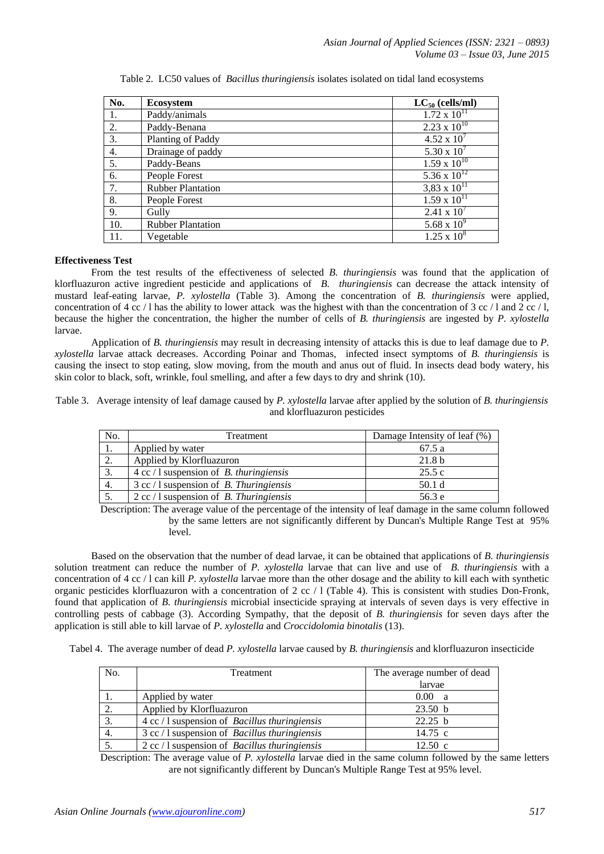| No. | <b>Ecosystem</b>         | $LC_{50}$ (cells/ml)  |
|-----|--------------------------|-----------------------|
| 1.  | Paddy/animals            | $1.72 \times 10^{11}$ |
| 2.  | Paddy-Benana             | $2.23 \times 10^{10}$ |
| 3.  | Planting of Paddy        | $4.52 \times 10^{7}$  |
| 4.  | Drainage of paddy        | 5.30 x $10^{7}$       |
| 5.  | Paddy-Beans              | $1.59 \times 10^{10}$ |
| 6.  | People Forest            | $5.36 \times 10^{12}$ |
| 7.  | <b>Rubber Plantation</b> | $3,83 \times 10^{11}$ |
| 8.  | People Forest            | $1.59 \times 10^{11}$ |
| 9.  | Gully                    | $2.41 \times 10^{7}$  |
| 10. | <b>Rubber Plantation</b> | 5.68 x $10^9$         |
| 11. | Vegetable                | $1.25 \times 10^8$    |

Table 2. LC50 values of *Bacillus thuringiensis* isolates isolated on tidal land ecosystems

## **Effectiveness Test**

From the test results of the effectiveness of selected *B. thuringiensis* was found that the application of klorfluazuron active ingredient pesticide and applications of *B. thuringiensis* can decrease the attack intensity of mustard leaf-eating larvae, *P. xylostella* (Table 3). Among the concentration of *B. thuringiensis* were applied, concentration of 4 cc / l has the ability to lower attack was the highest with than the concentration of 3 cc / l and 2 cc / l. because the higher the concentration, the higher the number of cells of *B. thuringiensis* are ingested by *P. xylostella* larvae.

Application of *B. thuringiensis* may result in decreasing intensity of attacks this is due to leaf damage due to *P. xylostella* larvae attack decreases. According Poinar and Thomas, infected insect symptoms of *B. thuringiensis* is causing the insect to stop eating, slow moving, from the mouth and anus out of fluid. In insects dead body watery, his skin color to black, soft, wrinkle, foul smelling, and after a few days to dry and shrink (10).

Table 3. Average intensity of leaf damage caused by *P. xylostella* larvae after applied by the solution of *B. thuringiensis* and klorfluazuron pesticides

| No. | Treatment                                                | Damage Intensity of leaf (%) |
|-----|----------------------------------------------------------|------------------------------|
| 1.  | Applied by water                                         | 67.5 a                       |
| 2.  | Applied by Klorfluazuron                                 | 21.8 <sub>b</sub>            |
|     | $4 \text{ cc} / 1$ suspension of <i>B. thuringiensis</i> | 25.5c                        |
| 4.  | $3 \text{ cc} / 1$ suspension of <i>B. Thuringiensis</i> | 50.1 d                       |
|     | $2 \text{ cc} / 1$ suspension of <i>B. Thuringiensis</i> | 56.3 e                       |

Description: The average value of the percentage of the intensity of leaf damage in the same column followed by the same letters are not significantly different by Duncan's Multiple Range Test at 95% level.

Based on the observation that the number of dead larvae, it can be obtained that applications of *B. thuringiensis* solution treatment can reduce the number of *P. xylostella* larvae that can live and use of *B. thuringiensis* with a concentration of 4 cc / l can kill *P. xylostella* larvae more than the other dosage and the ability to kill each with synthetic organic pesticides klorfluazuron with a concentration of 2 cc / l (Table 4). This is consistent with studies Don-Fronk, found that application of *B. thuringiensis* microbial insecticide spraying at intervals of seven days is very effective in controlling pests of cabbage (3). According Sympathy, that the deposit of *B. thuringiensis* for seven days after the application is still able to kill larvae of *P. xylostella* and *Croccidolomia binotalis* (13).

Tabel 4. The average number of dead *P. xylostella* larvae caused by *B. thuringiensis* and klorfluazuron insecticide

| No. | Treatment                                                      | The average number of dead |
|-----|----------------------------------------------------------------|----------------------------|
|     |                                                                | larvae                     |
|     | Applied by water                                               | 0.00 <sub>1</sub><br>- a   |
|     | Applied by Klorfluazuron                                       | 23.50 <sub>b</sub>         |
|     | $4 \text{ cc} / 1$ suspension of <i>Bacillus thuringiensis</i> | 22.25 b                    |
|     | $3$ cc / 1 suspension of <i>Bacillus thuringiensis</i>         | $14.75$ c                  |
|     | $2 \text{ cc} / 1$ suspension of <i>Bacillus thuringiensis</i> | $12.50 \text{ c}$          |

Description: The average value of *P. xylostella* larvae died in the same column followed by the same letters are not significantly different by Duncan's Multiple Range Test at 95% level.